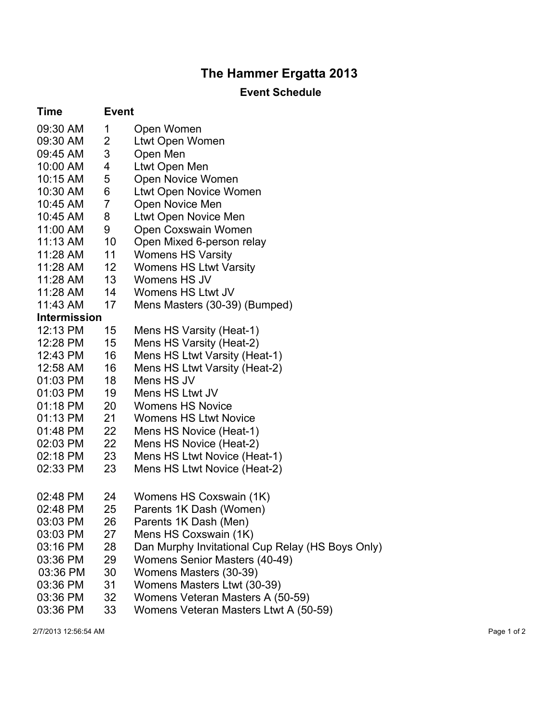## **The Hammer Ergatta 2013**

## **Event Schedule**

| <b>Time</b>         | <b>Event</b>   |                                                  |  |  |
|---------------------|----------------|--------------------------------------------------|--|--|
| 09:30 AM            | 1              | Open Women                                       |  |  |
| 09:30 AM            | 2              | Ltwt Open Women                                  |  |  |
| 09:45 AM            | 3              | Open Men                                         |  |  |
| 10:00 AM            | 4              | Ltwt Open Men                                    |  |  |
| 10:15 AM            | 5              | Open Novice Women                                |  |  |
| 10:30 AM            | 6              | Ltwt Open Novice Women                           |  |  |
| 10:45 AM            | $\overline{7}$ | Open Novice Men                                  |  |  |
| 10:45 AM            | 8              | Ltwt Open Novice Men                             |  |  |
| 11:00 AM            | 9              | Open Coxswain Women                              |  |  |
| $11:13$ AM          | 10             | Open Mixed 6-person relay                        |  |  |
| 11:28 AM            | 11             | <b>Womens HS Varsity</b>                         |  |  |
| 11:28 AM            | 12             | <b>Womens HS Ltwt Varsity</b>                    |  |  |
| 11:28 AM            | 13             | Womens HS JV                                     |  |  |
| 11:28 AM            | 14             | Womens HS Ltwt JV                                |  |  |
| 11:43 AM            | 17             | Mens Masters (30-39) (Bumped)                    |  |  |
| <b>Intermission</b> |                |                                                  |  |  |
| 12:13 PM            | 15             | Mens HS Varsity (Heat-1)                         |  |  |
| 12:28 PM            | 15             | Mens HS Varsity (Heat-2)                         |  |  |
| 12:43 PM            | 16             | Mens HS Ltwt Varsity (Heat-1)                    |  |  |
| 12:58 AM            | 16             | Mens HS Ltwt Varsity (Heat-2)                    |  |  |
| 01:03 PM            | 18             | Mens HS JV                                       |  |  |
| 01:03 PM            | 19             | Mens HS Ltwt JV                                  |  |  |
| 01:18 PM            | 20             | <b>Womens HS Novice</b>                          |  |  |
| 01:13 PM            | 21             | <b>Womens HS Ltwt Novice</b>                     |  |  |
| 01:48 PM            | 22             | Mens HS Novice (Heat-1)                          |  |  |
| 02:03 PM            | 22             | Mens HS Novice (Heat-2)                          |  |  |
| 02:18 PM            | 23             | Mens HS Ltwt Novice (Heat-1)                     |  |  |
| 02:33 PM            | 23             | Mens HS Ltwt Novice (Heat-2)                     |  |  |
| 02:48 PM            | 24             | Womens HS Coxswain (1K)                          |  |  |
| 02:48 PM            | 25             | Parents 1K Dash (Women)                          |  |  |
| 03:03 PM            | 26             | Parents 1K Dash (Men)                            |  |  |
| 03:03 PM            | 27             | Mens HS Coxswain (1K)                            |  |  |
| 03:16 PM            | 28             | Dan Murphy Invitational Cup Relay (HS Boys Only) |  |  |
| 03:36 PM            | 29             | Womens Senior Masters (40-49)                    |  |  |
| 03:36 PM            | 30             | Womens Masters (30-39)                           |  |  |
| 03:36 PM            | 31             | Womens Masters Ltwt (30-39)                      |  |  |
| 03:36 PM            | 32             | Womens Veteran Masters A (50-59)                 |  |  |
| 03:36 PM            | 33             | Womens Veteran Masters Ltwt A (50-59)            |  |  |